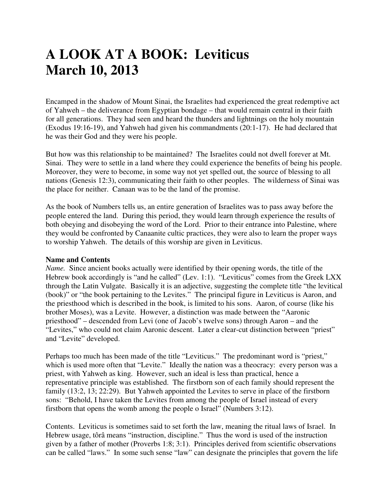# **A LOOK AT A BOOK: Leviticus March 10, 2013**

Encamped in the shadow of Mount Sinai, the Israelites had experienced the great redemptive act of Yahweh – the deliverance from Egyptian bondage – that would remain central in their faith for all generations. They had seen and heard the thunders and lightnings on the holy mountain (Exodus 19:16-19), and Yahweh had given his commandments (20:1-17). He had declared that he was their God and they were his people.

But how was this relationship to be maintained? The Israelites could not dwell forever at Mt. Sinai. They were to settle in a land where they could experience the benefits of being his people. Moreover, they were to become, in some way not yet spelled out, the source of blessing to all nations (Genesis 12:3), communicating their faith to other peoples. The wilderness of Sinai was the place for neither. Canaan was to be the land of the promise.

As the book of Numbers tells us, an entire generation of Israelites was to pass away before the people entered the land. During this period, they would learn through experience the results of both obeying and disobeying the word of the Lord. Prior to their entrance into Palestine, where they would be confronted by Canaanite cultic practices, they were also to learn the proper ways to worship Yahweh. The details of this worship are given in Leviticus.

#### **Name and Contents**

*Name.* Since ancient books actually were identified by their opening words, the title of the Hebrew book accordingly is "and he called" (Lev. 1:1). "Leviticus" comes from the Greek LXX through the Latin Vulgate. Basically it is an adjective, suggesting the complete title "the levitical (book)" or "the book pertaining to the Levites." The principal figure in Leviticus is Aaron, and the priesthood which is described in the book, is limited to his sons. Aaron, of course (like his brother Moses), was a Levite. However, a distinction was made between the "Aaronic priesthood" – descended from Levi (one of Jacob's twelve sons) through Aaron – and the "Levites," who could not claim Aaronic descent. Later a clear-cut distinction between "priest" and "Levite" developed.

Perhaps too much has been made of the title "Leviticus." The predominant word is "priest," which is used more often that "Levite." Ideally the nation was a theocracy: every person was a priest, with Yahweh as king. However, such an ideal is less than practical, hence a representative principle was established. The firstborn son of each family should represent the family (13:2, 13; 22:29). But Yahweh appointed the Levites to serve in place of the firstborn sons: "Behold, I have taken the Levites from among the people of Israel instead of every firstborn that opens the womb among the people o Israel" (Numbers 3:12).

Contents. Leviticus is sometimes said to set forth the law, meaning the ritual laws of Israel. In Hebrew usage, tôrâ means "instruction, discipline." Thus the word is used of the instruction given by a father of mother (Proverbs 1:8; 3:1). Principles derived from scientific observations can be called "laws." In some such sense "law" can designate the principles that govern the life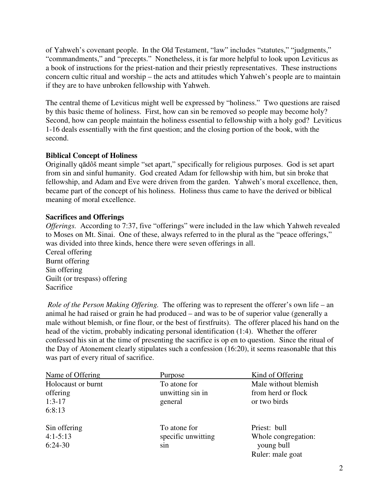of Yahweh's covenant people. In the Old Testament, "law" includes "statutes," "judgments," "commandments," and "precepts." Nonetheless, it is far more helpful to look upon Leviticus as a book of instructions for the priest-nation and their priestly representatives. These instructions concern cultic ritual and worship – the acts and attitudes which Yahweh's people are to maintain if they are to have unbroken fellowship with Yahweh.

The central theme of Leviticus might well be expressed by "holiness." Two questions are raised by this basic theme of holiness. First, how can sin be removed so people may become holy? Second, how can people maintain the holiness essential to fellowship with a holy god? Leviticus 1-16 deals essentially with the first question; and the closing portion of the book, with the second.

# **Biblical Concept of Holiness**

Originally qādôš meant simple "set apart," specifically for religious purposes. God is set apart from sin and sinful humanity. God created Adam for fellowship with him, but sin broke that fellowship, and Adam and Eve were driven from the garden. Yahweh's moral excellence, then, became part of the concept of his holiness. Holiness thus came to have the derived or biblical meaning of moral excellence.

#### **Sacrifices and Offerings**

*Offerings.* According to 7:37, five "offerings" were included in the law which Yahweh revealed to Moses on Mt. Sinai. One of these, always referred to in the plural as the "peace offerings," was divided into three kinds, hence there were seven offerings in all.

Cereal offering Burnt offering Sin offering Guilt (or trespass) offering Sacrifice

 *Role of the Person Making Offering.* The offering was to represent the offerer's own life – an animal he had raised or grain he had produced – and was to be of superior value (generally a male without blemish, or fine flour, or the best of firstfruits). The offerer placed his hand on the head of the victim, probably indicating personal identification (1:4). Whether the offerer confessed his sin at the time of presenting the sacrifice is op en to question. Since the ritual of the Day of Atonement clearly stipulates such a confession (16:20), it seems reasonable that this was part of every ritual of sacrifice.

| Name of Offering   | Purpose            | Kind of Offering     |
|--------------------|--------------------|----------------------|
| Holocaust or burnt | To atone for       | Male without blemish |
| offering           | unwitting sin in   | from herd or flock   |
| $1:3-17$           | general            | or two birds         |
| 6:8:13             |                    |                      |
| Sin offering       | To atone for       | Priest: bull         |
| $4:1 - 5:13$       | specific unwitting | Whole congregation:  |
| $6:24-30$          | sin                | young bull           |
|                    |                    | Ruler: male goat     |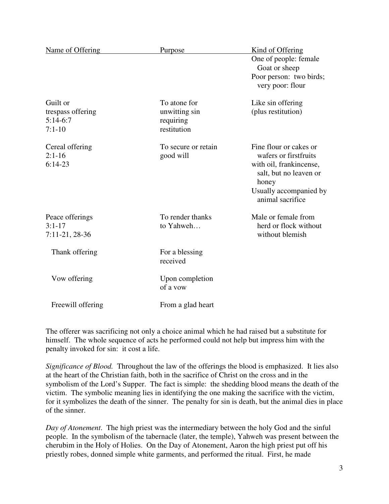| Name of Offering                                        | Purpose                                                   | Kind of Offering<br>One of people: female<br>Goat or sheep<br>Poor person: two birds;<br>very poor: flour                                                   |
|---------------------------------------------------------|-----------------------------------------------------------|-------------------------------------------------------------------------------------------------------------------------------------------------------------|
| Guilt or<br>trespass offering<br>$5:14-6:7$<br>$7:1-10$ | To atone for<br>unwitting sin<br>requiring<br>restitution | Like sin offering<br>(plus restitution)                                                                                                                     |
| Cereal offering<br>$2:1-16$<br>$6:14-23$                | To secure or retain<br>good will                          | Fine flour or cakes or<br>wafers or firstfruits<br>with oil, frankincense,<br>salt, but no leaven or<br>honey<br>Usually accompanied by<br>animal sacrifice |
| Peace offerings<br>$3:1-17$<br>$7:11-21,28-36$          | To render thanks<br>to Yahweh                             | Male or female from<br>herd or flock without<br>without blemish                                                                                             |
| Thank offering                                          | For a blessing<br>received                                |                                                                                                                                                             |
| Vow offering                                            | Upon completion<br>of a yow                               |                                                                                                                                                             |
| Freewill offering                                       | From a glad heart                                         |                                                                                                                                                             |

The offerer was sacrificing not only a choice animal which he had raised but a substitute for himself. The whole sequence of acts he performed could not help but impress him with the penalty invoked for sin: it cost a life.

*Significance of Blood.* Throughout the law of the offerings the blood is emphasized. It lies also at the heart of the Christian faith, both in the sacrifice of Christ on the cross and in the symbolism of the Lord's Supper. The fact is simple: the shedding blood means the death of the victim. The symbolic meaning lies in identifying the one making the sacrifice with the victim, for it symbolizes the death of the sinner. The penalty for sin is death, but the animal dies in place of the sinner.

*Day of Atonement*. The high priest was the intermediary between the holy God and the sinful people. In the symbolism of the tabernacle (later, the temple), Yahweh was present between the cherubim in the Holy of Holies. On the Day of Atonement, Aaron the high priest put off his priestly robes, donned simple white garments, and performed the ritual. First, he made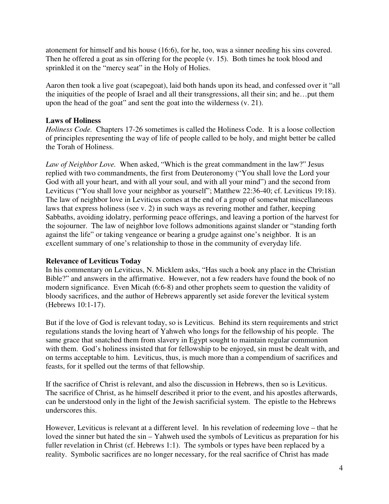atonement for himself and his house (16:6), for he, too, was a sinner needing his sins covered. Then he offered a goat as sin offering for the people (v. 15). Both times he took blood and sprinkled it on the "mercy seat" in the Holy of Holies.

Aaron then took a live goat (scapegoat), laid both hands upon its head, and confessed over it "all the iniquities of the people of Israel and all their transgressions, all their sin; and he…put them upon the head of the goat" and sent the goat into the wilderness (v. 21).

# **Laws of Holiness**

*Holiness Code.* Chapters 17-26 sometimes is called the Holiness Code. It is a loose collection of principles representing the way of life of people called to be holy, and might better be called the Torah of Holiness.

*Law of Neighbor Love.* When asked, "Which is the great commandment in the law?" Jesus replied with two commandments, the first from Deuteronomy ("You shall love the Lord your God with all your heart, and with all your soul, and with all your mind") and the second from Leviticus ("You shall love your neighbor as yourself"; Matthew 22:36-40; cf. Leviticus 19:18). The law of neighbor love in Leviticus comes at the end of a group of somewhat miscellaneous laws that express holiness (see v. 2) in such ways as revering mother and father, keeping Sabbaths, avoiding idolatry, performing peace offerings, and leaving a portion of the harvest for the sojourner. The law of neighbor love follows admonitions against slander or "standing forth against the life" or taking vengeance or bearing a grudge against one's neighbor. It is an excellent summary of one's relationship to those in the community of everyday life.

#### **Relevance of Leviticus Today**

In his commentary on Leviticus, N. Micklem asks, "Has such a book any place in the Christian Bible?" and answers in the affirmative. However, not a few readers have found the book of no modern significance. Even Micah (6:6-8) and other prophets seem to question the validity of bloody sacrifices, and the author of Hebrews apparently set aside forever the levitical system (Hebrews 10:1-17).

But if the love of God is relevant today, so is Leviticus. Behind its stern requirements and strict regulations stands the loving heart of Yahweh who longs for the fellowship of his people. The same grace that snatched them from slavery in Egypt sought to maintain regular communion with them. God's holiness insisted that for fellowship to be enjoyed, sin must be dealt with, and on terms acceptable to him. Leviticus, thus, is much more than a compendium of sacrifices and feasts, for it spelled out the terms of that fellowship.

If the sacrifice of Christ is relevant, and also the discussion in Hebrews, then so is Leviticus. The sacrifice of Christ, as he himself described it prior to the event, and his apostles afterwards, can be understood only in the light of the Jewish sacrificial system. The epistle to the Hebrews underscores this.

However, Leviticus is relevant at a different level. In his revelation of redeeming love – that he loved the sinner but hated the sin – Yahweh used the symbols of Leviticus as preparation for his fuller revelation in Christ (cf. Hebrews 1:1). The symbols or types have been replaced by a reality. Symbolic sacrifices are no longer necessary, for the real sacrifice of Christ has made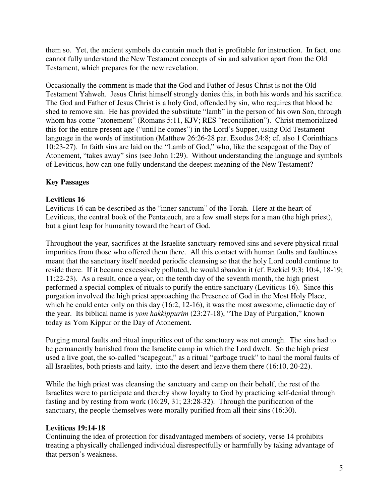them so. Yet, the ancient symbols do contain much that is profitable for instruction. In fact, one cannot fully understand the New Testament concepts of sin and salvation apart from the Old Testament, which prepares for the new revelation.

Occasionally the comment is made that the God and Father of Jesus Christ is not the Old Testament Yahweh. Jesus Christ himself strongly denies this, in both his words and his sacrifice. The God and Father of Jesus Christ is a holy God, offended by sin, who requires that blood be shed to remove sin. He has provided the substitute "lamb" in the person of his own Son, through whom has come "atonement" (Romans 5:11, KJV; RES "reconciliation"). Christ memorialized this for the entire present age ("until he comes") in the Lord's Supper, using Old Testament language in the words of institution (Matthew 26:26-28 par. Exodus 24:8; cf. also 1 Corinthians 10:23-27). In faith sins are laid on the "Lamb of God," who, like the scapegoat of the Day of Atonement, "takes away" sins (see John 1:29). Without understanding the language and symbols of Leviticus, how can one fully understand the deepest meaning of the New Testament?

# **Key Passages**

# **Leviticus 16**

Leviticus 16 can be described as the "inner sanctum" of the Torah. Here at the heart of Leviticus, the central book of the Pentateuch, are a few small steps for a man (the high priest), but a giant leap for humanity toward the heart of God.

Throughout the year, sacrifices at the Israelite sanctuary removed sins and severe physical ritual impurities from those who offered them there. All this contact with human faults and faultiness meant that the sanctuary itself needed periodic cleansing so that the holy Lord could continue to reside there. If it became excessively polluted, he would abandon it (cf. Ezekiel 9:3; 10:4, 18-19; 11:22-23). As a result, once a year, on the tenth day of the seventh month, the high priest performed a special complex of rituals to purify the entire sanctuary (Leviticus 16). Since this purgation involved the high priest approaching the Presence of God in the Most Holy Place, which he could enter only on this day (16:2, 12-16), it was the most awesome, climactic day of the year. Its biblical name is *yom hakkippurim* (23:27-18), "The Day of Purgation," known today as Yom Kippur or the Day of Atonement.

Purging moral faults and ritual impurities out of the sanctuary was not enough. The sins had to be permanently banished from the Israelite camp in which the Lord dwelt. So the high priest used a live goat, the so-called "scapegoat," as a ritual "garbage truck" to haul the moral faults of all Israelites, both priests and laity, into the desert and leave them there (16:10, 20-22).

While the high priest was cleansing the sanctuary and camp on their behalf, the rest of the Israelites were to participate and thereby show loyalty to God by practicing self-denial through fasting and by resting from work (16:29, 31; 23:28-32). Through the purification of the sanctuary, the people themselves were morally purified from all their sins (16:30).

# **Leviticus 19:14-18**

Continuing the idea of protection for disadvantaged members of society, verse 14 prohibits treating a physically challenged individual disrespectfully or harmfully by taking advantage of that person's weakness.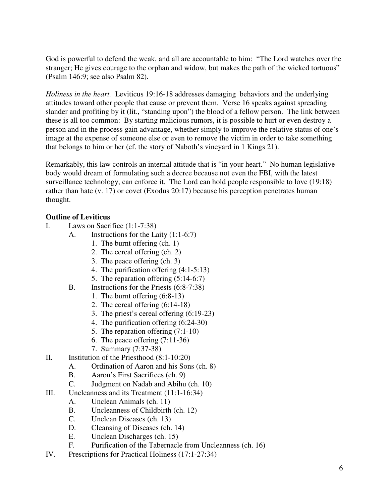God is powerful to defend the weak, and all are accountable to him: "The Lord watches over the stranger; He gives courage to the orphan and widow, but makes the path of the wicked tortuous" (Psalm 146:9; see also Psalm 82).

*Holiness in the heart.* Leviticus 19:16-18 addresses damaging behaviors and the underlying attitudes toward other people that cause or prevent them. Verse 16 speaks against spreading slander and profiting by it (lit., "standing upon") the blood of a fellow person. The link between these is all too common: By starting malicious rumors, it is possible to hurt or even destroy a person and in the process gain advantage, whether simply to improve the relative status of one's image at the expense of someone else or even to remove the victim in order to take something that belongs to him or her (cf. the story of Naboth's vineyard in 1 Kings 21).

Remarkably, this law controls an internal attitude that is "in your heart." No human legislative body would dream of formulating such a decree because not even the FBI, with the latest surveillance technology, can enforce it. The Lord can hold people responsible to love (19:18) rather than hate (v. 17) or covet (Exodus 20:17) because his perception penetrates human thought.

# **Outline of Leviticus**

- I. Laws on Sacrifice (1:1-7:38)
	- A. Instructions for the Laity (1:1-6:7)
		- 1. The burnt offering (ch. 1)
		- 2. The cereal offering (ch. 2)
		- 3. The peace offering (ch. 3)
		- 4. The purification offering (4:1-5:13)
		- 5. The reparation offering (5:14-6:7)
	- B. Instructions for the Priests (6:8-7:38)
		- 1. The burnt offering (6:8-13)
		- 2. The cereal offering (6:14-18)
		- 3. The priest's cereal offering (6:19-23)
		- 4. The purification offering (6:24-30)
		- 5. The reparation offering (7:1-10)
		- 6. The peace offering (7:11-36)
		- 7. Summary (7:37-38)
- II. Institution of the Priesthood (8:1-10:20)
	- A. Ordination of Aaron and his Sons (ch. 8)
	- B. Aaron's First Sacrifices (ch. 9)
	- C. Judgment on Nadab and Abihu (ch. 10)
- III. Uncleanness and its Treatment (11:1-16:34)
	- A. Unclean Animals (ch. 11)
	- B. Uncleanness of Childbirth (ch. 12)
	- C. Unclean Diseases (ch. 13)
	- D. Cleansing of Diseases (ch. 14)
	- E. Unclean Discharges (ch. 15)
	- F. Purification of the Tabernacle from Uncleanness (ch. 16)
- IV. Prescriptions for Practical Holiness (17:1-27:34)